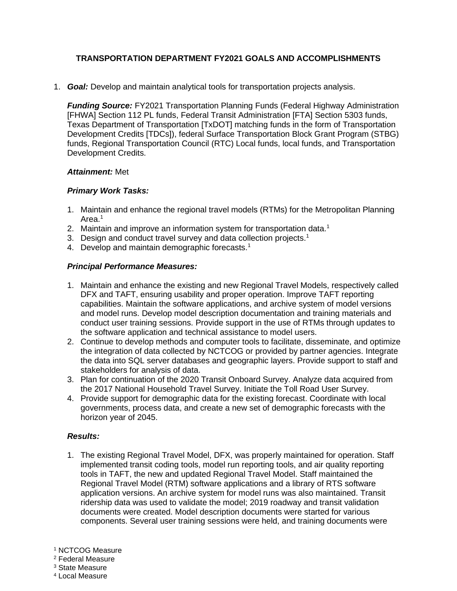# **TRANSPORTATION DEPARTMENT FY2021 GOALS AND ACCOMPLISHMENTS**

1. *Goal:* Develop and maintain analytical tools for transportation projects analysis.

*Funding Source:* FY2021 Transportation Planning Funds (Federal Highway Administration [FHWA] Section 112 PL funds, Federal Transit Administration [FTA] Section 5303 funds, Texas Department of Transportation [TxDOT] matching funds in the form of Transportation Development Credits [TDCs]), federal Surface Transportation Block Grant Program (STBG) funds, Regional Transportation Council (RTC) Local funds, local funds, and Transportation Development Credits.

## *Attainment:* Met

## *Primary Work Tasks:*

- 1. Maintain and enhance the regional travel models (RTMs) for the Metropolitan Planning Area.<sup>1</sup>
- 2. Maintain and improve an information system for transportation data.<sup>1</sup>
- 3. Design and conduct travel survey and data collection projects.<sup>1</sup>
- 4. Develop and maintain demographic forecasts.<sup>1</sup>

## *Principal Performance Measures:*

- 1. Maintain and enhance the existing and new Regional Travel Models, respectively called DFX and TAFT, ensuring usability and proper operation. Improve TAFT reporting capabilities. Maintain the software applications, and archive system of model versions and model runs. Develop model description documentation and training materials and conduct user training sessions. Provide support in the use of RTMs through updates to the software application and technical assistance to model users.
- 2. Continue to develop methods and computer tools to facilitate, disseminate, and optimize the integration of data collected by NCTCOG or provided by partner agencies. Integrate the data into SQL server databases and geographic layers. Provide support to staff and stakeholders for analysis of data.
- 3. Plan for continuation of the 2020 Transit Onboard Survey. Analyze data acquired from the 2017 National Household Travel Survey. Initiate the Toll Road User Survey.
- 4. Provide support for demographic data for the existing forecast. Coordinate with local governments, process data, and create a new set of demographic forecasts with the horizon year of 2045.

## *Results:*

1. The existing Regional Travel Model, DFX, was properly maintained for operation. Staff implemented transit coding tools, model run reporting tools, and air quality reporting tools in TAFT, the new and updated Regional Travel Model. Staff maintained the Regional Travel Model (RTM) software applications and a library of RTS software application versions. An archive system for model runs was also maintained. Transit ridership data was used to validate the model; 2019 roadway and transit validation documents were created. Model description documents were started for various components. Several user training sessions were held, and training documents were

<sup>1</sup> NCTCOG Measure

<sup>2</sup> Federal Measure

<sup>3</sup> State Measure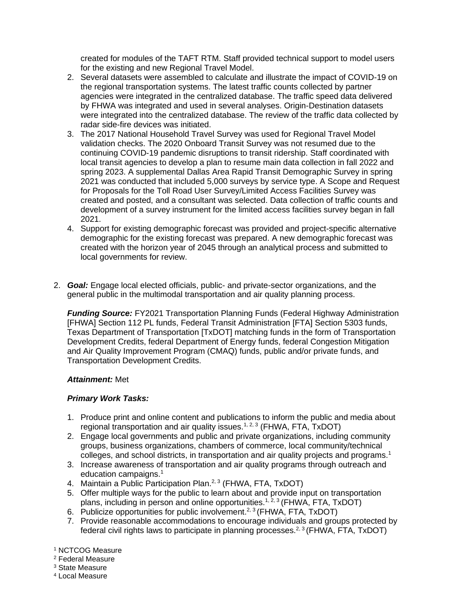created for modules of the TAFT RTM. Staff provided technical support to model users for the existing and new Regional Travel Model.

- 2. Several datasets were assembled to calculate and illustrate the impact of COVID-19 on the regional transportation systems. The latest traffic counts collected by partner agencies were integrated in the centralized database. The traffic speed data delivered by FHWA was integrated and used in several analyses. Origin-Destination datasets were integrated into the centralized database. The review of the traffic data collected by radar side-fire devices was initiated.
- 3. The 2017 National Household Travel Survey was used for Regional Travel Model validation checks. The 2020 Onboard Transit Survey was not resumed due to the continuing COVID-19 pandemic disruptions to transit ridership. Staff coordinated with local transit agencies to develop a plan to resume main data collection in fall 2022 and spring 2023. A supplemental Dallas Area Rapid Transit Demographic Survey in spring 2021 was conducted that included 5,000 surveys by service type. A Scope and Request for Proposals for the Toll Road User Survey/Limited Access Facilities Survey was created and posted, and a consultant was selected. Data collection of traffic counts and development of a survey instrument for the limited access facilities survey began in fall 2021.
- 4. Support for existing demographic forecast was provided and project-specific alternative demographic for the existing forecast was prepared. A new demographic forecast was created with the horizon year of 2045 through an analytical process and submitted to local governments for review.
- 2. *Goal:* Engage local elected officials, public- and private-sector organizations, and the general public in the multimodal transportation and air quality planning process.

*Funding Source:* FY2021 Transportation Planning Funds (Federal Highway Administration [FHWA] Section 112 PL funds, Federal Transit Administration [FTA] Section 5303 funds, Texas Department of Transportation [TxDOT] matching funds in the form of Transportation Development Credits, federal Department of Energy funds, federal Congestion Mitigation and Air Quality Improvement Program (CMAQ) funds, public and/or private funds, and Transportation Development Credits.

## *Attainment:* Met

## *Primary Work Tasks:*

- 1. Produce print and online content and publications to inform the public and media about regional transportation and air quality issues.<sup>1, 2, 3</sup> (FHWA, FTA, TxDOT)
- 2. Engage local governments and public and private organizations, including community groups, business organizations, chambers of commerce, local community/technical colleges, and school districts, in transportation and air quality projects and programs.<sup>1</sup>
- 3. Increase awareness of transportation and air quality programs through outreach and education campaigns.<sup>1</sup>
- 4. Maintain a Public Participation Plan.<sup>2, 3</sup> (FHWA, FTA, TxDOT)
- 5. Offer multiple ways for the public to learn about and provide input on transportation plans, including in person and online opportunities.<sup>1, 2, 3</sup> (FHWA, FTA, TxDOT)
- 6. Publicize opportunities for public involvement.<sup>2, 3</sup> (FHWA, FTA, TxDOT)
- 7. Provide reasonable accommodations to encourage individuals and groups protected by federal civil rights laws to participate in planning processes.<sup>2, 3</sup> (FHWA, FTA, TxDOT)

<sup>1</sup> NCTCOG Measure

<sup>2</sup> Federal Measure

<sup>3</sup> State Measure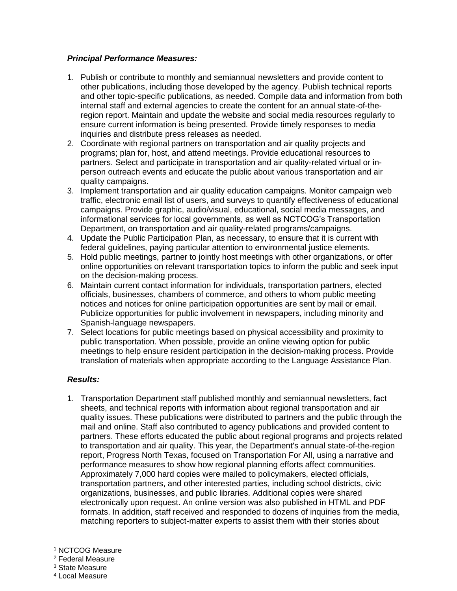## *Principal Performance Measures:*

- 1. Publish or contribute to monthly and semiannual newsletters and provide content to other publications, including those developed by the agency. Publish technical reports and other topic-specific publications, as needed. Compile data and information from both internal staff and external agencies to create the content for an annual state-of-theregion report. Maintain and update the website and social media resources regularly to ensure current information is being presented. Provide timely responses to media inquiries and distribute press releases as needed.
- 2. Coordinate with regional partners on transportation and air quality projects and programs; plan for, host, and attend meetings. Provide educational resources to partners. Select and participate in transportation and air quality-related virtual or inperson outreach events and educate the public about various transportation and air quality campaigns.
- 3. Implement transportation and air quality education campaigns. Monitor campaign web traffic, electronic email list of users, and surveys to quantify effectiveness of educational campaigns. Provide graphic, audio/visual, educational, social media messages, and informational services for local governments, as well as NCTCOG's Transportation Department, on transportation and air quality-related programs/campaigns.
- 4. Update the Public Participation Plan, as necessary, to ensure that it is current with federal guidelines, paying particular attention to environmental justice elements.
- 5. Hold public meetings, partner to jointly host meetings with other organizations, or offer online opportunities on relevant transportation topics to inform the public and seek input on the decision-making process.
- 6. Maintain current contact information for individuals, transportation partners, elected officials, businesses, chambers of commerce, and others to whom public meeting notices and notices for online participation opportunities are sent by mail or email. Publicize opportunities for public involvement in newspapers, including minority and Spanish-language newspapers.
- 7. Select locations for public meetings based on physical accessibility and proximity to public transportation. When possible, provide an online viewing option for public meetings to help ensure resident participation in the decision-making process. Provide translation of materials when appropriate according to the Language Assistance Plan.

## *Results:*

1. Transportation Department staff published monthly and semiannual newsletters, fact sheets, and technical reports with information about regional transportation and air quality issues. These publications were distributed to partners and the public through the mail and online. Staff also contributed to agency publications and provided content to partners. These efforts educated the public about regional programs and projects related to transportation and air quality. This year, the Department's annual state-of-the-region report, Progress North Texas, focused on Transportation For All, using a narrative and performance measures to show how regional planning efforts affect communities. Approximately 7,000 hard copies were mailed to policymakers, elected officials, transportation partners, and other interested parties, including school districts, civic organizations, businesses, and public libraries. Additional copies were shared electronically upon request. An online version was also published in HTML and PDF formats. In addition, staff received and responded to dozens of inquiries from the media, matching reporters to subject-matter experts to assist them with their stories about

<sup>1</sup> NCTCOG Measure

<sup>2</sup> Federal Measure

<sup>3</sup> State Measure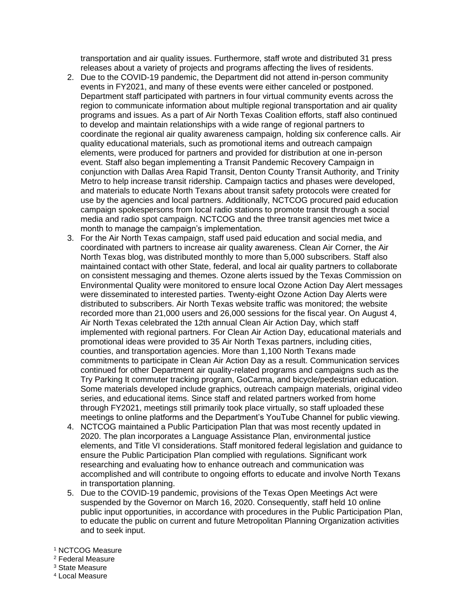transportation and air quality issues. Furthermore, staff wrote and distributed 31 press releases about a variety of projects and programs affecting the lives of residents.

- 2. Due to the COVID-19 pandemic, the Department did not attend in-person community events in FY2021, and many of these events were either canceled or postponed. Department staff participated with partners in four virtual community events across the region to communicate information about multiple regional transportation and air quality programs and issues. As a part of Air North Texas Coalition efforts, staff also continued to develop and maintain relationships with a wide range of regional partners to coordinate the regional air quality awareness campaign, holding six conference calls. Air quality educational materials, such as promotional items and outreach campaign elements, were produced for partners and provided for distribution at one in-person event. Staff also began implementing a Transit Pandemic Recovery Campaign in conjunction with Dallas Area Rapid Transit, Denton County Transit Authority, and Trinity Metro to help increase transit ridership. Campaign tactics and phases were developed, and materials to educate North Texans about transit safety protocols were created for use by the agencies and local partners. Additionally, NCTCOG procured paid education campaign spokespersons from local radio stations to promote transit through a social media and radio spot campaign. NCTCOG and the three transit agencies met twice a month to manage the campaign's implementation.
- 3. For the Air North Texas campaign, staff used paid education and social media, and coordinated with partners to increase air quality awareness. Clean Air Corner, the Air North Texas blog, was distributed monthly to more than 5,000 subscribers. Staff also maintained contact with other State, federal, and local air quality partners to collaborate on consistent messaging and themes. Ozone alerts issued by the Texas Commission on Environmental Quality were monitored to ensure local Ozone Action Day Alert messages were disseminated to interested parties. Twenty-eight Ozone Action Day Alerts were distributed to subscribers. Air North Texas website traffic was monitored; the website recorded more than 21,000 users and 26,000 sessions for the fiscal year. On August 4, Air North Texas celebrated the 12th annual Clean Air Action Day, which staff implemented with regional partners. For Clean Air Action Day, educational materials and promotional ideas were provided to 35 Air North Texas partners, including cities, counties, and transportation agencies. More than 1,100 North Texans made commitments to participate in Clean Air Action Day as a result. Communication services continued for other Department air quality-related programs and campaigns such as the Try Parking It commuter tracking program, GoCarma, and bicycle/pedestrian education. Some materials developed include graphics, outreach campaign materials, original video series, and educational items. Since staff and related partners worked from home through FY2021, meetings still primarily took place virtually, so staff uploaded these meetings to online platforms and the Department's YouTube Channel for public viewing.
- 4. NCTCOG maintained a Public Participation Plan that was most recently updated in 2020. The plan incorporates a Language Assistance Plan, environmental justice elements, and Title VI considerations. Staff monitored federal legislation and guidance to ensure the Public Participation Plan complied with regulations. Significant work researching and evaluating how to enhance outreach and communication was accomplished and will contribute to ongoing efforts to educate and involve North Texans in transportation planning.
- 5. Due to the COVID-19 pandemic, provisions of the Texas Open Meetings Act were suspended by the Governor on March 16, 2020. Consequently, staff held 10 online public input opportunities, in accordance with procedures in the Public Participation Plan, to educate the public on current and future Metropolitan Planning Organization activities and to seek input.
- <sup>1</sup> NCTCOG Measure
- <sup>2</sup> Federal Measure
- <sup>3</sup> State Measure
- <sup>4</sup> Local Measure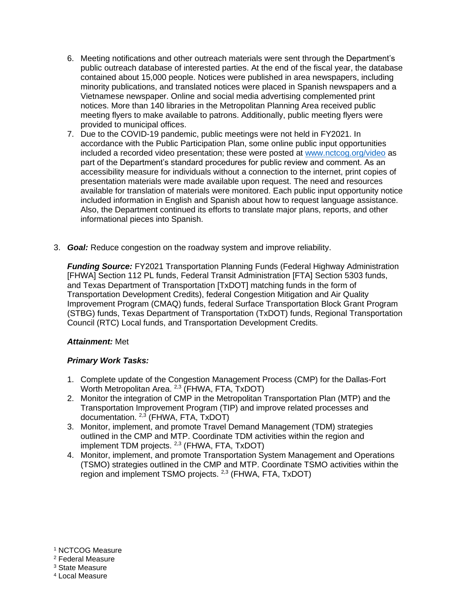- 6. Meeting notifications and other outreach materials were sent through the Department's public outreach database of interested parties. At the end of the fiscal year, the database contained about 15,000 people. Notices were published in area newspapers, including minority publications, and translated notices were placed in Spanish newspapers and a Vietnamese newspaper. Online and social media advertising complemented print notices. More than 140 libraries in the Metropolitan Planning Area received public meeting flyers to make available to patrons. Additionally, public meeting flyers were provided to municipal offices.
- 7. Due to the COVID-19 pandemic, public meetings were not held in FY2021. In accordance with the Public Participation Plan, some online public input opportunities included a recorded video presentation; these were posted at www.nctcog.org/video as part of the Department's standard procedures for public review and comment. As an accessibility measure for individuals without a connection to the internet, print copies of presentation materials were made available upon request. The need and resources available for translation of materials were monitored. Each public input opportunity notice included information in English and Spanish about how to request language assistance. Also, the Department continued its efforts to translate major plans, reports, and other informational pieces into Spanish.
- 3. *Goal:* Reduce congestion on the roadway system and improve reliability.

*Funding Source:* FY2021 Transportation Planning Funds (Federal Highway Administration [FHWA] Section 112 PL funds, Federal Transit Administration [FTA] Section 5303 funds, and Texas Department of Transportation [TxDOT] matching funds in the form of Transportation Development Credits), federal Congestion Mitigation and Air Quality Improvement Program (CMAQ) funds, federal Surface Transportation Block Grant Program (STBG) funds, Texas Department of Transportation (TxDOT) funds, Regional Transportation Council (RTC) Local funds, and Transportation Development Credits.

## *Attainment:* Met

## *Primary Work Tasks:*

- 1. Complete update of the Congestion Management Process (CMP) for the Dallas-Fort Worth Metropolitan Area.<sup>2,3</sup> (FHWA, FTA, TxDOT)
- 2. Monitor the integration of CMP in the Metropolitan Transportation Plan (MTP) and the Transportation Improvement Program (TIP) and improve related processes and documentation. 2,3 (FHWA, FTA, TxDOT)
- 3. Monitor, implement, and promote Travel Demand Management (TDM) strategies outlined in the CMP and MTP. Coordinate TDM activities within the region and implement TDM projects. 2,3 (FHWA, FTA, TxDOT)
- 4. Monitor, implement, and promote Transportation System Management and Operations (TSMO) strategies outlined in the CMP and MTP. Coordinate TSMO activities within the region and implement TSMO projects. <sup>2,3</sup> (FHWA, FTA, TxDOT)

<sup>1</sup> NCTCOG Measure

<sup>2</sup> Federal Measure

<sup>3</sup> State Measure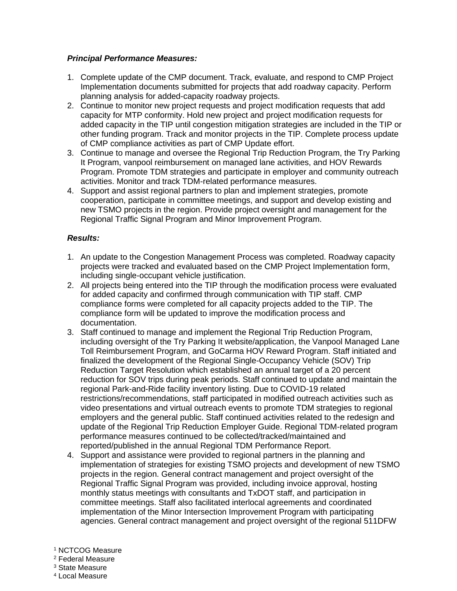### *Principal Performance Measures:*

- 1. Complete update of the CMP document. Track, evaluate, and respond to CMP Project Implementation documents submitted for projects that add roadway capacity. Perform planning analysis for added-capacity roadway projects.
- 2. Continue to monitor new project requests and project modification requests that add capacity for MTP conformity. Hold new project and project modification requests for added capacity in the TIP until congestion mitigation strategies are included in the TIP or other funding program. Track and monitor projects in the TIP. Complete process update of CMP compliance activities as part of CMP Update effort.
- 3. Continue to manage and oversee the Regional Trip Reduction Program, the Try Parking It Program, vanpool reimbursement on managed lane activities, and HOV Rewards Program. Promote TDM strategies and participate in employer and community outreach activities. Monitor and track TDM-related performance measures.
- 4. Support and assist regional partners to plan and implement strategies, promote cooperation, participate in committee meetings, and support and develop existing and new TSMO projects in the region. Provide project oversight and management for the Regional Traffic Signal Program and Minor Improvement Program.

- 1. An update to the Congestion Management Process was completed. Roadway capacity projects were tracked and evaluated based on the CMP Project Implementation form, including single-occupant vehicle justification.
- 2. All projects being entered into the TIP through the modification process were evaluated for added capacity and confirmed through communication with TIP staff. CMP compliance forms were completed for all capacity projects added to the TIP. The compliance form will be updated to improve the modification process and documentation.
- 3. Staff continued to manage and implement the Regional Trip Reduction Program, including oversight of the Try Parking It website/application, the Vanpool Managed Lane Toll Reimbursement Program, and GoCarma HOV Reward Program. Staff initiated and finalized the development of the Regional Single-Occupancy Vehicle (SOV) Trip Reduction Target Resolution which established an annual target of a 20 percent reduction for SOV trips during peak periods. Staff continued to update and maintain the regional Park-and-Ride facility inventory listing. Due to COVID-19 related restrictions/recommendations, staff participated in modified outreach activities such as video presentations and virtual outreach events to promote TDM strategies to regional employers and the general public. Staff continued activities related to the redesign and update of the Regional Trip Reduction Employer Guide. Regional TDM-related program performance measures continued to be collected/tracked/maintained and reported/published in the annual Regional TDM Performance Report.
- 4. Support and assistance were provided to regional partners in the planning and implementation of strategies for existing TSMO projects and development of new TSMO projects in the region. General contract management and project oversight of the Regional Traffic Signal Program was provided, including invoice approval, hosting monthly status meetings with consultants and TxDOT staff, and participation in committee meetings. Staff also facilitated interlocal agreements and coordinated implementation of the Minor Intersection Improvement Program with participating agencies. General contract management and project oversight of the regional 511DFW
- <sup>1</sup> NCTCOG Measure
- <sup>2</sup> Federal Measure
- <sup>3</sup> State Measure
- <sup>4</sup> Local Measure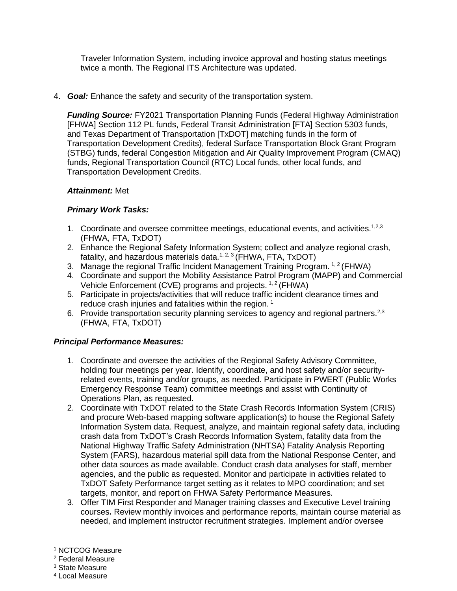Traveler Information System, including invoice approval and hosting status meetings twice a month. The Regional ITS Architecture was updated.

4. *Goal:* Enhance the safety and security of the transportation system.

*Funding Source:* FY2021 Transportation Planning Funds (Federal Highway Administration [FHWA] Section 112 PL funds, Federal Transit Administration [FTA] Section 5303 funds, and Texas Department of Transportation [TxDOT] matching funds in the form of Transportation Development Credits), federal Surface Transportation Block Grant Program (STBG) funds, federal Congestion Mitigation and Air Quality Improvement Program (CMAQ) funds, Regional Transportation Council (RTC) Local funds, other local funds, and Transportation Development Credits.

## *Attainment:* Met

## *Primary Work Tasks:*

- 1. Coordinate and oversee committee meetings, educational events, and activities.<sup>1,2,3</sup> (FHWA, FTA, TxDOT)
- 2. Enhance the Regional Safety Information System; collect and analyze regional crash, fatality, and hazardous materials data.<sup>1, 2, 3</sup> (FHWA, FTA, TxDOT)
- 3. Manage the regional Traffic Incident Management Training Program.  $1,2$  (FHWA)
- 4. Coordinate and support the Mobility Assistance Patrol Program (MAPP) and Commercial Vehicle Enforcement (CVE) programs and projects.  $1, 2$  (FHWA)
- 5. Participate in projects/activities that will reduce traffic incident clearance times and reduce crash injuries and fatalities within the region.<sup>1</sup>
- 6. Provide transportation security planning services to agency and regional partners.<sup>2,3</sup> (FHWA, FTA, TxDOT)

# *Principal Performance Measures:*

- 1. Coordinate and oversee the activities of the Regional Safety Advisory Committee, holding four meetings per year. Identify, coordinate, and host safety and/or securityrelated events, training and/or groups, as needed. Participate in PWERT (Public Works Emergency Response Team) committee meetings and assist with Continuity of Operations Plan, as requested.
- 2. Coordinate with TxDOT related to the State Crash Records Information System (CRIS) and procure Web-based mapping software application(s) to house the Regional Safety Information System data. Request, analyze, and maintain regional safety data, including crash data from TxDOT's Crash Records Information System, fatality data from the National Highway Traffic Safety Administration (NHTSA) Fatality Analysis Reporting System (FARS), hazardous material spill data from the National Response Center, and other data sources as made available. Conduct crash data analyses for staff, member agencies, and the public as requested. Monitor and participate in activities related to TxDOT Safety Performance target setting as it relates to MPO coordination; and set targets, monitor, and report on FHWA Safety Performance Measures.
- 3. Offer TIM First Responder and Manager training classes and Executive Level training courses**.** Review monthly invoices and performance reports, maintain course material as needed, and implement instructor recruitment strategies. Implement and/or oversee
- <sup>1</sup> NCTCOG Measure
- <sup>2</sup> Federal Measure
- <sup>3</sup> State Measure
- <sup>4</sup> Local Measure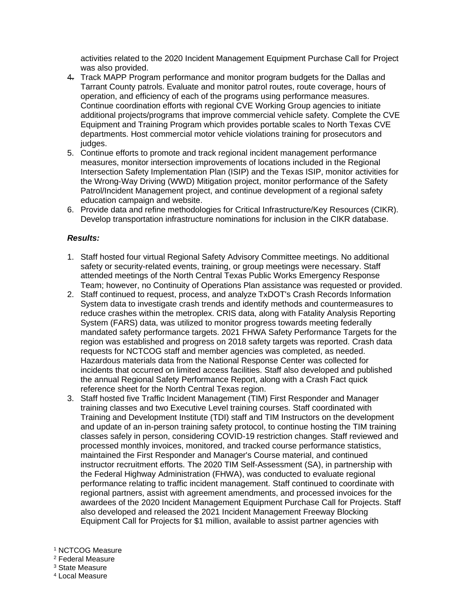activities related to the 2020 Incident Management Equipment Purchase Call for Project was also provided.

- 4. Track MAPP Program performance and monitor program budgets for the Dallas and Tarrant County patrols. Evaluate and monitor patrol routes, route coverage, hours of operation, and efficiency of each of the programs using performance measures. Continue coordination efforts with regional CVE Working Group agencies to initiate additional projects/programs that improve commercial vehicle safety. Complete the CVE Equipment and Training Program which provides portable scales to North Texas CVE departments. Host commercial motor vehicle violations training for prosecutors and judges.
- 5. Continue efforts to promote and track regional incident management performance measures, monitor intersection improvements of locations included in the Regional Intersection Safety Implementation Plan (ISIP) and the Texas ISIP, monitor activities for the Wrong-Way Driving (WWD) Mitigation project, monitor performance of the Safety Patrol/Incident Management project, and continue development of a regional safety education campaign and website.
- 6. Provide data and refine methodologies for Critical Infrastructure/Key Resources (CIKR). Develop transportation infrastructure nominations for inclusion in the CIKR database.

- 1. Staff hosted four virtual Regional Safety Advisory Committee meetings. No additional safety or security-related events, training, or group meetings were necessary. Staff attended meetings of the North Central Texas Public Works Emergency Response Team; however, no Continuity of Operations Plan assistance was requested or provided.
- 2. Staff continued to request, process, and analyze TxDOT's Crash Records Information System data to investigate crash trends and identify methods and countermeasures to reduce crashes within the metroplex. CRIS data, along with Fatality Analysis Reporting System (FARS) data, was utilized to monitor progress towards meeting federally mandated safety performance targets. 2021 FHWA Safety Performance Targets for the region was established and progress on 2018 safety targets was reported. Crash data requests for NCTCOG staff and member agencies was completed, as needed. Hazardous materials data from the National Response Center was collected for incidents that occurred on limited access facilities. Staff also developed and published the annual Regional Safety Performance Report, along with a Crash Fact quick reference sheet for the North Central Texas region.
- 3. Staff hosted five Traffic Incident Management (TIM) First Responder and Manager training classes and two Executive Level training courses. Staff coordinated with Training and Development Institute (TDI) staff and TIM Instructors on the development and update of an in-person training safety protocol, to continue hosting the TIM training classes safely in person, considering COVID-19 restriction changes. Staff reviewed and processed monthly invoices, monitored, and tracked course performance statistics, maintained the First Responder and Manager's Course material, and continued instructor recruitment efforts. The 2020 TIM Self-Assessment (SA), in partnership with the Federal Highway Administration (FHWA), was conducted to evaluate regional performance relating to traffic incident management. Staff continued to coordinate with regional partners, assist with agreement amendments, and processed invoices for the awardees of the 2020 Incident Management Equipment Purchase Call for Projects. Staff also developed and released the 2021 Incident Management Freeway Blocking Equipment Call for Projects for \$1 million, available to assist partner agencies with
- <sup>1</sup> NCTCOG Measure
- <sup>2</sup> Federal Measure
- <sup>3</sup> State Measure
- <sup>4</sup> Local Measure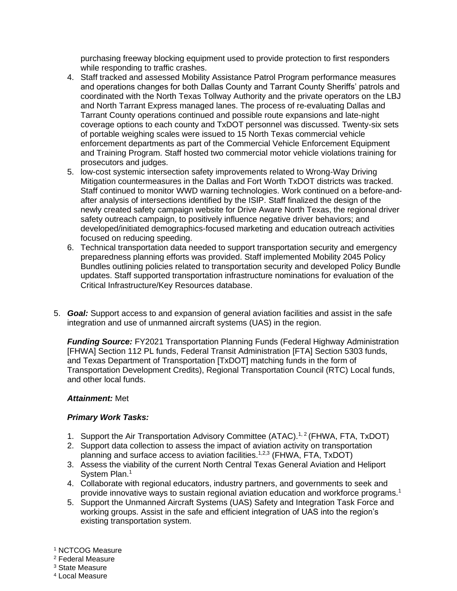purchasing freeway blocking equipment used to provide protection to first responders while responding to traffic crashes.

- 4. Staff tracked and assessed Mobility Assistance Patrol Program performance measures and operations changes for both Dallas County and Tarrant County Sheriffs' patrols and coordinated with the North Texas Tollway Authority and the private operators on the LBJ and North Tarrant Express managed lanes. The process of re-evaluating Dallas and Tarrant County operations continued and possible route expansions and late-night coverage options to each county and TxDOT personnel was discussed. Twenty-six sets of portable weighing scales were issued to 15 North Texas commercial vehicle enforcement departments as part of the Commercial Vehicle Enforcement Equipment and Training Program. Staff hosted two commercial motor vehicle violations training for prosecutors and judges.
- 5. low-cost systemic intersection safety improvements related to Wrong-Way Driving Mitigation countermeasures in the Dallas and Fort Worth TxDOT districts was tracked. Staff continued to monitor WWD warning technologies. Work continued on a before-andafter analysis of intersections identified by the ISIP. Staff finalized the design of the newly created safety campaign website for Drive Aware North Texas, the regional driver safety outreach campaign, to positively influence negative driver behaviors; and developed/initiated demographics-focused marketing and education outreach activities focused on reducing speeding.
- 6. Technical transportation data needed to support transportation security and emergency preparedness planning efforts was provided. Staff implemented Mobility 2045 Policy Bundles outlining policies related to transportation security and developed Policy Bundle updates. Staff supported transportation infrastructure nominations for evaluation of the Critical Infrastructure/Key Resources database.
- 5. *Goal:* Support access to and expansion of general aviation facilities and assist in the safe integration and use of unmanned aircraft systems (UAS) in the region.

*Funding Source:* FY2021 Transportation Planning Funds (Federal Highway Administration [FHWA] Section 112 PL funds, Federal Transit Administration [FTA] Section 5303 funds, and Texas Department of Transportation [TxDOT] matching funds in the form of Transportation Development Credits), Regional Transportation Council (RTC) Local funds, and other local funds.

## *Attainment:* Met

## *Primary Work Tasks:*

- 1. Support the Air Transportation Advisory Committee (ATAC).<sup>1,2</sup> (FHWA, FTA, TxDOT)
- 2. Support data collection to assess the impact of aviation activity on transportation planning and surface access to aviation facilities.<sup>1,2,3</sup> (FHWA, FTA, TxDOT)
- 3. Assess the viability of the current North Central Texas General Aviation and Heliport System Plan.<sup>1</sup>
- 4. Collaborate with regional educators, industry partners, and governments to seek and provide innovative ways to sustain regional aviation education and workforce programs.<sup>1</sup>
- 5. Support the Unmanned Aircraft Systems (UAS) Safety and Integration Task Force and working groups. Assist in the safe and efficient integration of UAS into the region's existing transportation system.

<sup>1</sup> NCTCOG Measure

<sup>2</sup> Federal Measure

<sup>3</sup> State Measure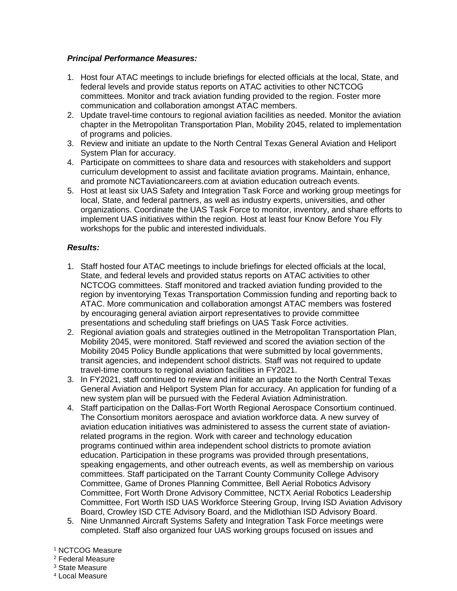## *Principal Performance Measures:*

- 1. Host four ATAC meetings to include briefings for elected officials at the local, State, and federal levels and provide status reports on ATAC activities to other NCTCOG committees. Monitor and track aviation funding provided to the region. Foster more communication and collaboration amongst ATAC members.
- 2. Update travel-time contours to regional aviation facilities as needed. Monitor the aviation chapter in the Metropolitan Transportation Plan, Mobility 2045, related to implementation of programs and policies.
- 3. Review and initiate an update to the North Central Texas General Aviation and Heliport System Plan for accuracy.
- 4. Participate on committees to share data and resources with stakeholders and support curriculum development to assist and facilitate aviation programs. Maintain, enhance, and promote NCTaviationcareers.com at aviation education outreach events.
- 5. Host at least six UAS Safety and Integration Task Force and working group meetings for local, State, and federal partners, as well as industry experts, universities, and other organizations. Coordinate the UAS Task Force to monitor, inventory, and share efforts to implement UAS initiatives within the region. Host at least four Know Before You Fly workshops for the public and interested individuals.

## *Results:*

- 1. Staff hosted four ATAC meetings to include briefings for elected officials at the local, State, and federal levels and provided status reports on ATAC activities to other NCTCOG committees. Staff monitored and tracked aviation funding provided to the region by inventorying Texas Transportation Commission funding and reporting back to ATAC. More communication and collaboration amongst ATAC members was fostered by encouraging general aviation airport representatives to provide committee presentations and scheduling staff briefings on UAS Task Force activities.
- 2. Regional aviation goals and strategies outlined in the Metropolitan Transportation Plan, Mobility 2045, were monitored. Staff reviewed and scored the aviation section of the Mobility 2045 Policy Bundle applications that were submitted by local governments, transit agencies, and independent school districts. Staff was not required to update travel-time contours to regional aviation facilities in FY2021.
- 3. In FY2021, staff continued to review and initiate an update to the North Central Texas General Aviation and Heliport System Plan for accuracy. An application for funding of a new system plan will be pursued with the Federal Aviation Administration.
- 4. Staff participation on the Dallas-Fort Worth Regional Aerospace Consortium continued. The Consortium monitors aerospace and aviation workforce data. A new survey of aviation education initiatives was administered to assess the current state of aviationrelated programs in the region. Work with career and technology education programs continued within area independent school districts to promote aviation education. Participation in these programs was provided through presentations, speaking engagements, and other outreach events, as well as membership on various committees. Staff participated on the Tarrant County Community College Advisory Committee, Game of Drones Planning Committee, Bell Aerial Robotics Advisory Committee, Fort Worth Drone Advisory Committee, NCTX Aerial Robotics Leadership Committee, Fort Worth ISD UAS Workforce Steering Group, Irving ISD Aviation Advisory Board, Crowley ISD CTE Advisory Board, and the Midlothian ISD Advisory Board.
- 5. Nine Unmanned Aircraft Systems Safety and Integration Task Force meetings were completed. Staff also organized four UAS working groups focused on issues and

#### <sup>1</sup> NCTCOG Measure

- <sup>2</sup> Federal Measure
- <sup>3</sup> State Measure
- <sup>4</sup> Local Measure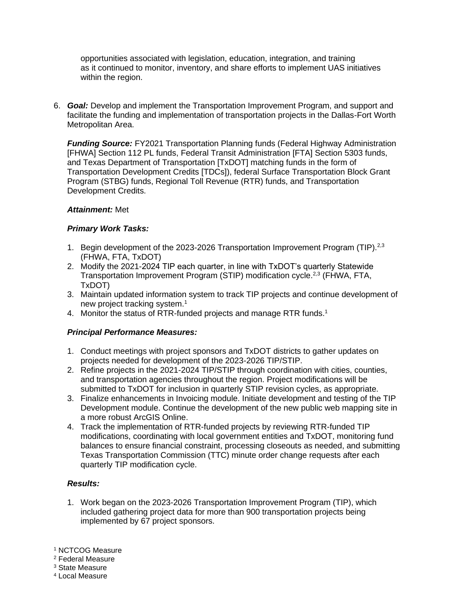opportunities associated with legislation, education, integration, and training as it continued to monitor, inventory, and share efforts to implement UAS initiatives within the region.

6. *Goal:* Develop and implement the Transportation Improvement Program, and support and facilitate the funding and implementation of transportation projects in the Dallas-Fort Worth Metropolitan Area.

*Funding Source: FY2021 Transportation Planning funds (Federal Highway Administration***)** [FHWA] Section 112 PL funds, Federal Transit Administration [FTA] Section 5303 funds, and Texas Department of Transportation [TxDOT] matching funds in the form of Transportation Development Credits [TDCs]), federal Surface Transportation Block Grant Program (STBG) funds, Regional Toll Revenue (RTR) funds, and Transportation Development Credits.

### *Attainment:* Met

### *Primary Work Tasks:*

- 1. Begin development of the 2023-2026 Transportation Improvement Program (TIP).<sup>2,3</sup> (FHWA, FTA, TxDOT)
- 2. Modify the 2021-2024 TIP each quarter, in line with TxDOT's quarterly Statewide Transportation Improvement Program (STIP) modification cycle.2,3 (FHWA, FTA, TxDOT)
- 3. Maintain updated information system to track TIP projects and continue development of new project tracking system.<sup>1</sup>
- 4. Monitor the status of RTR-funded projects and manage RTR funds.<sup>1</sup>

## *Principal Performance Measures:*

- 1. Conduct meetings with project sponsors and TxDOT districts to gather updates on projects needed for development of the 2023-2026 TIP/STIP.
- 2. Refine projects in the 2021-2024 TIP/STIP through coordination with cities, counties, and transportation agencies throughout the region. Project modifications will be submitted to TxDOT for inclusion in quarterly STIP revision cycles, as appropriate.
- 3. Finalize enhancements in Invoicing module. Initiate development and testing of the TIP Development module. Continue the development of the new public web mapping site in a more robust ArcGIS Online.
- 4. Track the implementation of RTR-funded projects by reviewing RTR-funded TIP modifications, coordinating with local government entities and TxDOT, monitoring fund balances to ensure financial constraint, processing closeouts as needed, and submitting Texas Transportation Commission (TTC) minute order change requests after each quarterly TIP modification cycle.

#### *Results:*

1. Work began on the 2023-2026 Transportation Improvement Program (TIP), which included gathering project data for more than 900 transportation projects being implemented by 67 project sponsors.

<sup>1</sup> NCTCOG Measure

<sup>2</sup> Federal Measure

<sup>3</sup> State Measure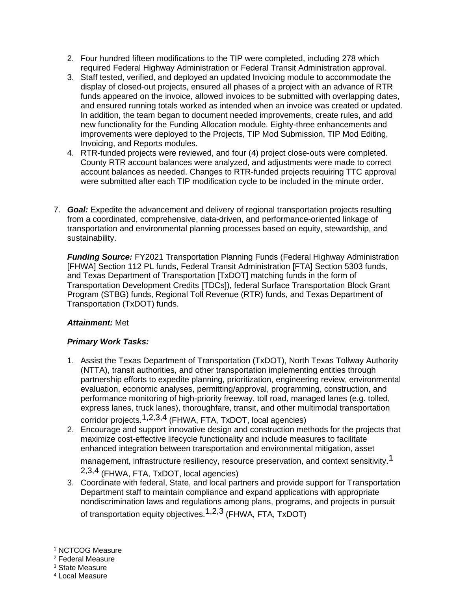- 2. Four hundred fifteen modifications to the TIP were completed, including 278 which required Federal Highway Administration or Federal Transit Administration approval.
- 3. Staff tested, verified, and deployed an updated Invoicing module to accommodate the display of closed-out projects, ensured all phases of a project with an advance of RTR funds appeared on the invoice, allowed invoices to be submitted with overlapping dates, and ensured running totals worked as intended when an invoice was created or updated. In addition, the team began to document needed improvements, create rules, and add new functionality for the Funding Allocation module. Eighty-three enhancements and improvements were deployed to the Projects, TIP Mod Submission, TIP Mod Editing, Invoicing, and Reports modules.
- 4. RTR-funded projects were reviewed, and four (4) project close-outs were completed. County RTR account balances were analyzed, and adjustments were made to correct account balances as needed. Changes to RTR-funded projects requiring TTC approval were submitted after each TIP modification cycle to be included in the minute order.
- 7. *Goal:* Expedite the advancement and delivery of regional transportation projects resulting from a coordinated, comprehensive, data-driven, and performance-oriented linkage of transportation and environmental planning processes based on equity, stewardship, and sustainability.

*Funding Source:* FY2021 Transportation Planning Funds (Federal Highway Administration [FHWA] Section 112 PL funds, Federal Transit Administration [FTA] Section 5303 funds, and Texas Department of Transportation [TxDOT] matching funds in the form of Transportation Development Credits [TDCs]), federal Surface Transportation Block Grant Program (STBG) funds, Regional Toll Revenue (RTR) funds, and Texas Department of Transportation (TxDOT) funds.

# *Attainment:* Met

# *Primary Work Tasks:*

- 1. Assist the Texas Department of Transportation (TxDOT), North Texas Tollway Authority (NTTA), transit authorities, and other transportation implementing entities through partnership efforts to expedite planning, prioritization, engineering review, environmental evaluation, economic analyses, permitting/approval, programming, construction, and performance monitoring of high-priority freeway, toll road, managed lanes (e.g. tolled, express lanes, truck lanes), thoroughfare, transit, and other multimodal transportation corridor projects.1,2,3,4 (FHWA, FTA, TxDOT, local agencies)
- 2. Encourage and support innovative design and construction methods for the projects that maximize cost-effective lifecycle functionality and include measures to facilitate enhanced integration between transportation and environmental mitigation, asset management, infrastructure resiliency, resource preservation, and context sensitivity.<sup>1</sup> 2,3,4 (FHWA, FTA, TxDOT, local agencies)
- 3. Coordinate with federal, State, and local partners and provide support for Transportation Department staff to maintain compliance and expand applications with appropriate nondiscrimination laws and regulations among plans, programs, and projects in pursuit of transportation equity objectives.<sup>1,2,3</sup> (FHWA, FTA, TxDOT)
- <sup>1</sup> NCTCOG Measure
- <sup>2</sup> Federal Measure

<sup>3</sup> State Measure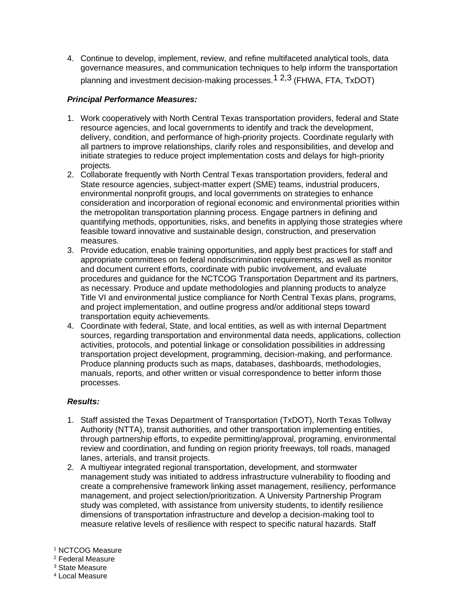4. Continue to develop, implement, review, and refine multifaceted analytical tools, data governance measures, and communication techniques to help inform the transportation planning and investment decision-making processes.<sup>1</sup>  $2,3$  (FHWA, FTA, TxDOT)

## *Principal Performance Measures:*

- 1. Work cooperatively with North Central Texas transportation providers, federal and State resource agencies, and local governments to identify and track the development, delivery, condition, and performance of high-priority projects. Coordinate regularly with all partners to improve relationships, clarify roles and responsibilities, and develop and initiate strategies to reduce project implementation costs and delays for high-priority projects.
- 2. Collaborate frequently with North Central Texas transportation providers, federal and State resource agencies, subject-matter expert (SME) teams, industrial producers, environmental nonprofit groups, and local governments on strategies to enhance consideration and incorporation of regional economic and environmental priorities within the metropolitan transportation planning process. Engage partners in defining and quantifying methods, opportunities, risks, and benefits in applying those strategies where feasible toward innovative and sustainable design, construction, and preservation measures.
- 3. Provide education, enable training opportunities, and apply best practices for staff and appropriate committees on federal nondiscrimination requirements, as well as monitor and document current efforts, coordinate with public involvement, and evaluate procedures and guidance for the NCTCOG Transportation Department and its partners, as necessary. Produce and update methodologies and planning products to analyze Title VI and environmental justice compliance for North Central Texas plans, programs, and project implementation, and outline progress and/or additional steps toward transportation equity achievements.
- 4. Coordinate with federal, State, and local entities, as well as with internal Department sources, regarding transportation and environmental data needs, applications, collection activities, protocols, and potential linkage or consolidation possibilities in addressing transportation project development, programming, decision-making, and performance. Produce planning products such as maps, databases, dashboards, methodologies, manuals, reports, and other written or visual correspondence to better inform those processes.

- 1. Staff assisted the Texas Department of Transportation (TxDOT), North Texas Tollway Authority (NTTA), transit authorities, and other transportation implementing entities, through partnership efforts, to expedite permitting/approval, programing, environmental review and coordination, and funding on region priority freeways, toll roads, managed lanes, arterials, and transit projects.
- 2. A multiyear integrated regional transportation, development, and stormwater management study was initiated to address infrastructure vulnerability to flooding and create a comprehensive framework linking asset management, resiliency, performance management, and project selection/prioritization. A University Partnership Program study was completed, with assistance from university students, to identify resilience dimensions of transportation infrastructure and develop a decision-making tool to measure relative levels of resilience with respect to specific natural hazards. Staff
- <sup>1</sup> NCTCOG Measure
- <sup>2</sup> Federal Measure
- <sup>3</sup> State Measure
- <sup>4</sup> Local Measure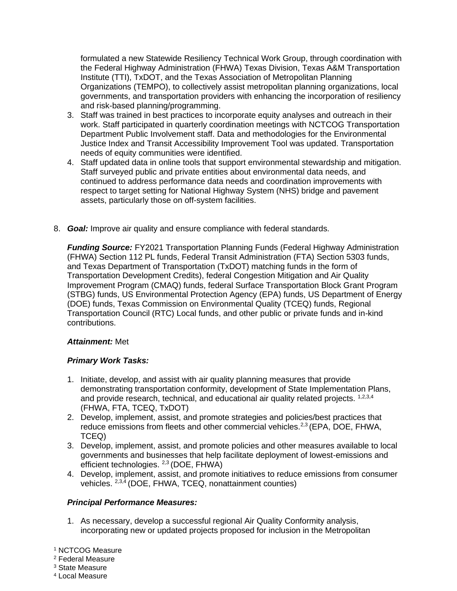formulated a new Statewide Resiliency Technical Work Group, through coordination with the Federal Highway Administration (FHWA) Texas Division, Texas A&M Transportation Institute (TTI), TxDOT, and the Texas Association of Metropolitan Planning Organizations (TEMPO), to collectively assist metropolitan planning organizations, local governments, and transportation providers with enhancing the incorporation of resiliency and risk-based planning/programming.

- 3. Staff was trained in best practices to incorporate equity analyses and outreach in their work. Staff participated in quarterly coordination meetings with NCTCOG Transportation Department Public Involvement staff. Data and methodologies for the Environmental Justice Index and Transit Accessibility Improvement Tool was updated. Transportation needs of equity communities were identified.
- 4. Staff updated data in online tools that support environmental stewardship and mitigation. Staff surveyed public and private entities about environmental data needs, and continued to address performance data needs and coordination improvements with respect to target setting for National Highway System (NHS) bridge and pavement assets, particularly those on off-system facilities.
- 8. *Goal:* Improve air quality and ensure compliance with federal standards.

*Funding Source:* FY2021 Transportation Planning Funds (Federal Highway Administration (FHWA) Section 112 PL funds, Federal Transit Administration (FTA) Section 5303 funds, and Texas Department of Transportation (TxDOT) matching funds in the form of Transportation Development Credits), federal Congestion Mitigation and Air Quality Improvement Program (CMAQ) funds, federal Surface Transportation Block Grant Program (STBG) funds, US Environmental Protection Agency (EPA) funds, US Department of Energy (DOE) funds, Texas Commission on Environmental Quality (TCEQ) funds, Regional Transportation Council (RTC) Local funds, and other public or private funds and in-kind contributions.

# *Attainment:* Met

# *Primary Work Tasks:*

- 1. Initiate, develop, and assist with air quality planning measures that provide demonstrating transportation conformity, development of State Implementation Plans, and provide research, technical, and educational air quality related projects. 1,2,3,4 (FHWA, FTA, TCEQ, TxDOT)
- 2. Develop, implement, assist, and promote strategies and policies/best practices that reduce emissions from fleets and other commercial vehicles.<sup>2,3</sup> (EPA, DOE, FHWA, TCEQ)
- 3. Develop, implement, assist, and promote policies and other measures available to local governments and businesses that help facilitate deployment of lowest-emissions and efficient technologies. <sup>2,3</sup> (DOE, FHWA)
- 4. Develop, implement, assist, and promote initiatives to reduce emissions from consumer vehicles. 2,3,4 (DOE, FHWA, TCEQ, nonattainment counties)

## *Principal Performance Measures:*

1. As necessary, develop a successful regional Air Quality Conformity analysis, incorporating new or updated projects proposed for inclusion in the Metropolitan

<sup>1</sup> NCTCOG Measure

<sup>2</sup> Federal Measure

<sup>3</sup> State Measure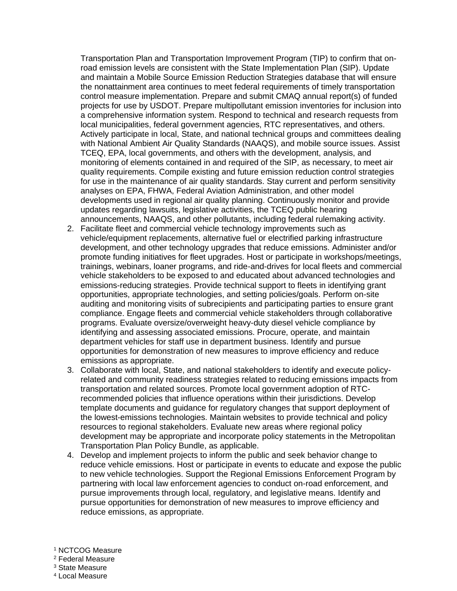Transportation Plan and Transportation Improvement Program (TIP) to confirm that onroad emission levels are consistent with the State Implementation Plan (SIP). Update and maintain a Mobile Source Emission Reduction Strategies database that will ensure the nonattainment area continues to meet federal requirements of timely transportation control measure implementation. Prepare and submit CMAQ annual report(s) of funded projects for use by USDOT. Prepare multipollutant emission inventories for inclusion into a comprehensive information system. Respond to technical and research requests from local municipalities, federal government agencies, RTC representatives, and others. Actively participate in local, State, and national technical groups and committees dealing with National Ambient Air Quality Standards (NAAQS), and mobile source issues. Assist TCEQ, EPA, local governments, and others with the development, analysis, and monitoring of elements contained in and required of the SIP, as necessary, to meet air quality requirements. Compile existing and future emission reduction control strategies for use in the maintenance of air quality standards. Stay current and perform sensitivity analyses on EPA, FHWA, Federal Aviation Administration, and other model developments used in regional air quality planning. Continuously monitor and provide updates regarding lawsuits, legislative activities, the TCEQ public hearing announcements, NAAQS, and other pollutants, including federal rulemaking activity.

- 2. Facilitate fleet and commercial vehicle technology improvements such as vehicle/equipment replacements, alternative fuel or electrified parking infrastructure development, and other technology upgrades that reduce emissions. Administer and/or promote funding initiatives for fleet upgrades. Host or participate in workshops/meetings, trainings, webinars, loaner programs, and ride-and-drives for local fleets and commercial vehicle stakeholders to be exposed to and educated about advanced technologies and emissions-reducing strategies. Provide technical support to fleets in identifying grant opportunities, appropriate technologies, and setting policies/goals. Perform on-site auditing and monitoring visits of subrecipients and participating parties to ensure grant compliance. Engage fleets and commercial vehicle stakeholders through collaborative programs. Evaluate oversize/overweight heavy-duty diesel vehicle compliance by identifying and assessing associated emissions. Procure, operate, and maintain department vehicles for staff use in department business. Identify and pursue opportunities for demonstration of new measures to improve efficiency and reduce emissions as appropriate.
- 3. Collaborate with local, State, and national stakeholders to identify and execute policyrelated and community readiness strategies related to reducing emissions impacts from transportation and related sources. Promote local government adoption of RTCrecommended policies that influence operations within their jurisdictions. Develop template documents and guidance for regulatory changes that support deployment of the lowest-emissions technologies. Maintain websites to provide technical and policy resources to regional stakeholders. Evaluate new areas where regional policy development may be appropriate and incorporate policy statements in the Metropolitan Transportation Plan Policy Bundle, as applicable.
- 4. Develop and implement projects to inform the public and seek behavior change to reduce vehicle emissions. Host or participate in events to educate and expose the public to new vehicle technologies. Support the Regional Emissions Enforcement Program by partnering with local law enforcement agencies to conduct on-road enforcement, and pursue improvements through local, regulatory, and legislative means. Identify and pursue opportunities for demonstration of new measures to improve efficiency and reduce emissions, as appropriate.

<sup>1</sup> NCTCOG Measure

<sup>2</sup> Federal Measure

<sup>3</sup> State Measure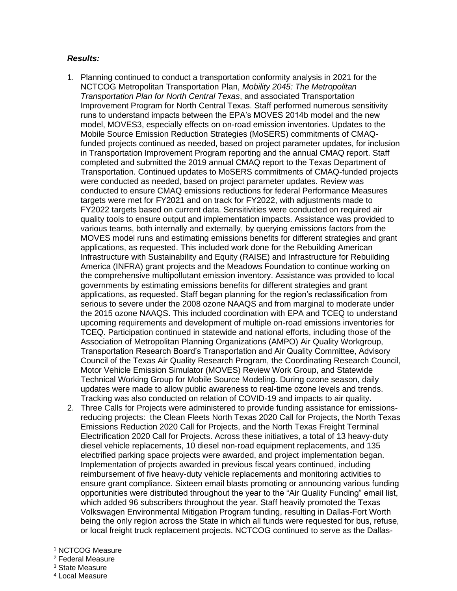- 1. Planning continued to conduct a transportation conformity analysis in 2021 for the NCTCOG Metropolitan Transportation Plan, *Mobility 2045: The Metropolitan Transportation Plan for North Central Texas*, and associated Transportation Improvement Program for North Central Texas. Staff performed numerous sensitivity runs to understand impacts between the EPA's MOVES 2014b model and the new model, MOVES3, especially effects on on-road emission inventories. Updates to the Mobile Source Emission Reduction Strategies (MoSERS) commitments of CMAQfunded projects continued as needed, based on project parameter updates, for inclusion in Transportation Improvement Program reporting and the annual CMAQ report. Staff completed and submitted the 2019 annual CMAQ report to the Texas Department of Transportation. Continued updates to MoSERS commitments of CMAQ-funded projects were conducted as needed, based on project parameter updates. Review was conducted to ensure CMAQ emissions reductions for federal Performance Measures targets were met for FY2021 and on track for FY2022, with adjustments made to FY2022 targets based on current data. Sensitivities were conducted on required air quality tools to ensure output and implementation impacts. Assistance was provided to various teams, both internally and externally, by querying emissions factors from the MOVES model runs and estimating emissions benefits for different strategies and grant applications, as requested. This included work done for the Rebuilding American Infrastructure with Sustainability and Equity (RAISE) and Infrastructure for Rebuilding America (INFRA) grant projects and the Meadows Foundation to continue working on the comprehensive multipollutant emission inventory. Assistance was provided to local governments by estimating emissions benefits for different strategies and grant applications, as requested. Staff began planning for the region's reclassification from serious to severe under the 2008 ozone NAAQS and from marginal to moderate under the 2015 ozone NAAQS. This included coordination with EPA and TCEQ to understand upcoming requirements and development of multiple on-road emissions inventories for TCEQ. Participation continued in statewide and national efforts, including those of the Association of Metropolitan Planning Organizations (AMPO) Air Quality Workgroup, Transportation Research Board's Transportation and Air Quality Committee, Advisory Council of the Texas Air Quality Research Program, the Coordinating Research Council, Motor Vehicle Emission Simulator (MOVES) Review Work Group, and Statewide Technical Working Group for Mobile Source Modeling. During ozone season, daily updates were made to allow public awareness to real-time ozone levels and trends. Tracking was also conducted on relation of COVID-19 and impacts to air quality.
- 2. Three Calls for Projects were administered to provide funding assistance for emissionsreducing projects: the Clean Fleets North Texas 2020 Call for Projects, the North Texas Emissions Reduction 2020 Call for Projects, and the North Texas Freight Terminal Electrification 2020 Call for Projects. Across these initiatives, a total of 13 heavy-duty diesel vehicle replacements, 10 diesel non-road equipment replacements, and 135 electrified parking space projects were awarded, and project implementation began. Implementation of projects awarded in previous fiscal years continued, including reimbursement of five heavy-duty vehicle replacements and monitoring activities to ensure grant compliance. Sixteen email blasts promoting or announcing various funding opportunities were distributed throughout the year to the "Air Quality Funding" email list, which added 96 subscribers throughout the year. Staff heavily promoted the Texas Volkswagen Environmental Mitigation Program funding, resulting in Dallas-Fort Worth being the only region across the State in which all funds were requested for bus, refuse, or local freight truck replacement projects. NCTCOG continued to serve as the Dallas-
- <sup>1</sup> NCTCOG Measure
- <sup>2</sup> Federal Measure
- <sup>3</sup> State Measure
- <sup>4</sup> Local Measure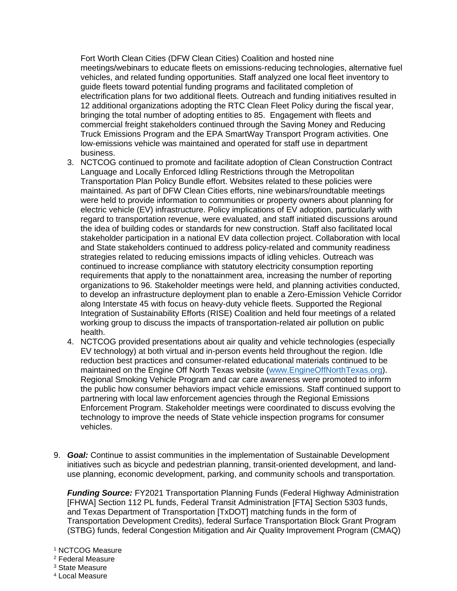Fort Worth Clean Cities (DFW Clean Cities) Coalition and hosted nine meetings/webinars to educate fleets on emissions-reducing technologies, alternative fuel vehicles, and related funding opportunities. Staff analyzed one local fleet inventory to guide fleets toward potential funding programs and facilitated completion of electrification plans for two additional fleets. Outreach and funding initiatives resulted in 12 additional organizations adopting the RTC Clean Fleet Policy during the fiscal year, bringing the total number of adopting entities to 85. Engagement with fleets and commercial freight stakeholders continued through the Saving Money and Reducing Truck Emissions Program and the EPA SmartWay Transport Program activities. One low-emissions vehicle was maintained and operated for staff use in department business.

- 3. NCTCOG continued to promote and facilitate adoption of Clean Construction Contract Language and Locally Enforced Idling Restrictions through the Metropolitan Transportation Plan Policy Bundle effort. Websites related to these policies were maintained. As part of DFW Clean Cities efforts, nine webinars/roundtable meetings were held to provide information to communities or property owners about planning for electric vehicle (EV) infrastructure. Policy implications of EV adoption, particularly with regard to transportation revenue, were evaluated, and staff initiated discussions around the idea of building codes or standards for new construction. Staff also facilitated local stakeholder participation in a national EV data collection project. Collaboration with local and State stakeholders continued to address policy-related and community readiness strategies related to reducing emissions impacts of idling vehicles. Outreach was continued to increase compliance with statutory electricity consumption reporting requirements that apply to the nonattainment area, increasing the number of reporting organizations to 96. Stakeholder meetings were held, and planning activities conducted, to develop an infrastructure deployment plan to enable a Zero-Emission Vehicle Corridor along Interstate 45 with focus on heavy-duty vehicle fleets. Supported the Regional Integration of Sustainability Efforts (RISE) Coalition and held four meetings of a related working group to discuss the impacts of transportation-related air pollution on public health.
- 4. NCTCOG provided presentations about air quality and vehicle technologies (especially EV technology) at both virtual and in-person events held throughout the region. Idle reduction best practices and consumer-related educational materials continued to be maintained on the Engine Off North Texas website [\(www.EngineOffNorthTexas.org\)](http://www.engineoffnorthtexas.org/). Regional Smoking Vehicle Program and car care awareness were promoted to inform the public how consumer behaviors impact vehicle emissions. Staff continued support to partnering with local law enforcement agencies through the Regional Emissions Enforcement Program. Stakeholder meetings were coordinated to discuss evolving the technology to improve the needs of State vehicle inspection programs for consumer vehicles.
- 9. *Goal:* Continue to assist communities in the implementation of Sustainable Development initiatives such as bicycle and pedestrian planning, transit-oriented development, and landuse planning, economic development, parking, and community schools and transportation.

*Funding Source:* FY2021 Transportation Planning Funds (Federal Highway Administration [FHWA] Section 112 PL funds, Federal Transit Administration [FTA] Section 5303 funds, and Texas Department of Transportation [TxDOT] matching funds in the form of Transportation Development Credits), federal Surface Transportation Block Grant Program (STBG) funds, federal Congestion Mitigation and Air Quality Improvement Program (CMAQ)

- <sup>1</sup> NCTCOG Measure
- <sup>2</sup> Federal Measure
- <sup>3</sup> State Measure
- <sup>4</sup> Local Measure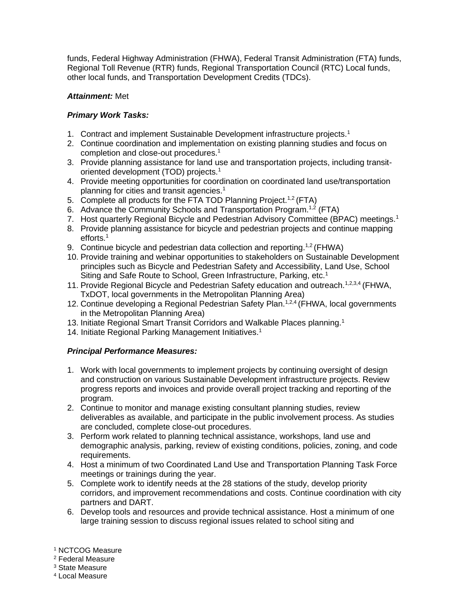funds, Federal Highway Administration (FHWA), Federal Transit Administration (FTA) funds, Regional Toll Revenue (RTR) funds, Regional Transportation Council (RTC) Local funds, other local funds, and Transportation Development Credits (TDCs).

# *Attainment:* Met

# *Primary Work Tasks:*

- 1. Contract and implement Sustainable Development infrastructure projects.<sup>1</sup>
- 2. Continue coordination and implementation on existing planning studies and focus on completion and close-out procedures.<sup>1</sup>
- 3. Provide planning assistance for land use and transportation projects, including transitoriented development (TOD) projects.<sup>1</sup>
- 4. Provide meeting opportunities for coordination on coordinated land use/transportation planning for cities and transit agencies.<sup>1</sup>
- 5. Complete all products for the FTA TOD Planning Project.<sup>1,2</sup> (FTA)
- 6. Advance the Community Schools and Transportation Program.<sup>1,2</sup> (FTA)
- 7. Host quarterly Regional Bicycle and Pedestrian Advisory Committee (BPAC) meetings.<sup>1</sup>
- 8. Provide planning assistance for bicycle and pedestrian projects and continue mapping efforts.<sup>1</sup>
- 9. Continue bicycle and pedestrian data collection and reporting.<sup>1,2</sup> (FHWA)
- 10. Provide training and webinar opportunities to stakeholders on Sustainable Development principles such as Bicycle and Pedestrian Safety and Accessibility, Land Use, School Siting and Safe Route to School, Green Infrastructure, Parking, etc.<sup>1</sup>
- 11. Provide Regional Bicycle and Pedestrian Safety education and outreach.<sup>1,2,3,4</sup> (FHWA, TxDOT, local governments in the Metropolitan Planning Area)
- 12. Continue developing a Regional Pedestrian Safety Plan.<sup>1,2,4</sup> (FHWA, local governments in the Metropolitan Planning Area)
- 13. Initiate Regional Smart Transit Corridors and Walkable Places planning.<sup>1</sup>
- 14. Initiate Regional Parking Management Initiatives.<sup>1</sup>

## *Principal Performance Measures:*

- 1. Work with local governments to implement projects by continuing oversight of design and construction on various Sustainable Development infrastructure projects. Review progress reports and invoices and provide overall project tracking and reporting of the program.
- 2. Continue to monitor and manage existing consultant planning studies, review deliverables as available, and participate in the public involvement process. As studies are concluded, complete close-out procedures.
- 3. Perform work related to planning technical assistance, workshops, land use and demographic analysis, parking, review of existing conditions, policies, zoning, and code requirements.
- 4. Host a minimum of two Coordinated Land Use and Transportation Planning Task Force meetings or trainings during the year.
- 5. Complete work to identify needs at the 28 stations of the study, develop priority corridors, and improvement recommendations and costs. Continue coordination with city partners and DART.
- 6. Develop tools and resources and provide technical assistance. Host a minimum of one large training session to discuss regional issues related to school siting and

<sup>2</sup> Federal Measure

<sup>3</sup> State Measure

<sup>1</sup> NCTCOG Measure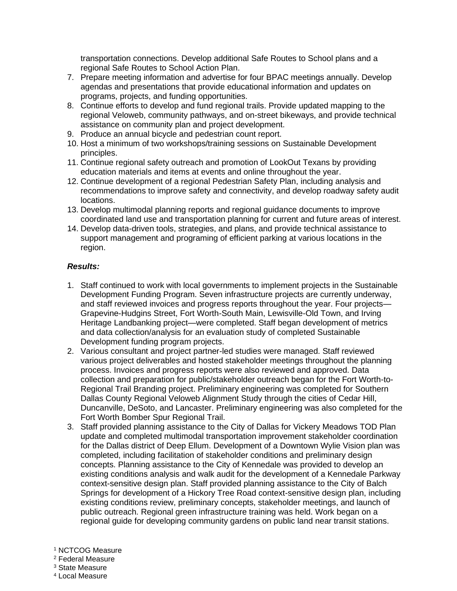transportation connections. Develop additional Safe Routes to School plans and a regional Safe Routes to School Action Plan.

- 7. Prepare meeting information and advertise for four BPAC meetings annually. Develop agendas and presentations that provide educational information and updates on programs, projects, and funding opportunities.
- 8. Continue efforts to develop and fund regional trails. Provide updated mapping to the regional Veloweb, community pathways, and on-street bikeways, and provide technical assistance on community plan and project development.
- 9. Produce an annual bicycle and pedestrian count report.
- 10. Host a minimum of two workshops/training sessions on Sustainable Development principles.
- 11. Continue regional safety outreach and promotion of LookOut Texans by providing education materials and items at events and online throughout the year.
- 12. Continue development of a regional Pedestrian Safety Plan, including analysis and recommendations to improve safety and connectivity, and develop roadway safety audit locations.
- 13. Develop multimodal planning reports and regional guidance documents to improve coordinated land use and transportation planning for current and future areas of interest.
- 14. Develop data-driven tools, strategies, and plans, and provide technical assistance to support management and programing of efficient parking at various locations in the region.

- 1. Staff continued to work with local governments to implement projects in the Sustainable Development Funding Program. Seven infrastructure projects are currently underway, and staff reviewed invoices and progress reports throughout the year. Four projects— Grapevine-Hudgins Street, Fort Worth-South Main, Lewisville-Old Town, and Irving Heritage Landbanking project—were completed. Staff began development of metrics and data collection/analysis for an evaluation study of completed Sustainable Development funding program projects.
- 2. Various consultant and project partner-led studies were managed. Staff reviewed various project deliverables and hosted stakeholder meetings throughout the planning process. Invoices and progress reports were also reviewed and approved. Data collection and preparation for public/stakeholder outreach began for the Fort Worth-to-Regional Trail Branding project. Preliminary engineering was completed for Southern Dallas County Regional Veloweb Alignment Study through the cities of Cedar Hill, Duncanville, DeSoto, and Lancaster. Preliminary engineering was also completed for the Fort Worth Bomber Spur Regional Trail.
- 3. Staff provided planning assistance to the City of Dallas for Vickery Meadows TOD Plan update and completed multimodal transportation improvement stakeholder coordination for the Dallas district of Deep Ellum. Development of a Downtown Wylie Vision plan was completed, including facilitation of stakeholder conditions and preliminary design concepts. Planning assistance to the City of Kennedale was provided to develop an existing conditions analysis and walk audit for the development of a Kennedale Parkway context-sensitive design plan. Staff provided planning assistance to the City of Balch Springs for development of a Hickory Tree Road context-sensitive design plan, including existing conditions review, preliminary concepts, stakeholder meetings, and launch of public outreach. Regional green infrastructure training was held. Work began on a regional guide for developing community gardens on public land near transit stations.
- <sup>1</sup> NCTCOG Measure
- <sup>2</sup> Federal Measure
- <sup>3</sup> State Measure
- <sup>4</sup> Local Measure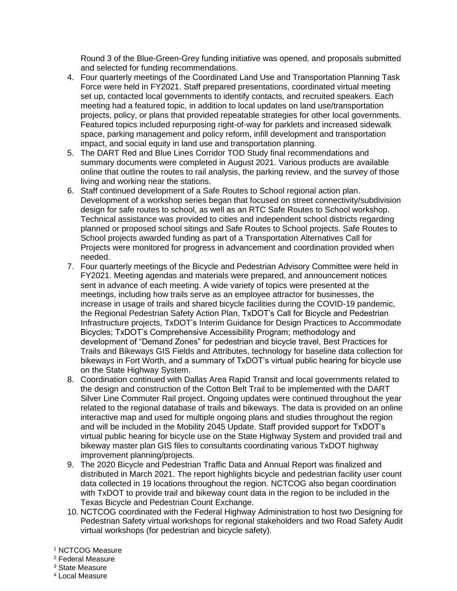Round 3 of the Blue-Green-Grey funding initiative was opened, and proposals submitted and selected for funding recommendations.

- 4. Four quarterly meetings of the Coordinated Land Use and Transportation Planning Task Force were held in FY2021. Staff prepared presentations, coordinated virtual meeting set up, contacted local governments to identify contacts, and recruited speakers. Each meeting had a featured topic, in addition to local updates on land use/transportation projects, policy, or plans that provided repeatable strategies for other local governments. Featured topics included repurposing right-of-way for parklets and increased sidewalk space, parking management and policy reform, infill development and transportation impact, and social equity in land use and transportation planning.
- 5. The DART Red and Blue Lines Corridor TOD Study final recommendations and summary documents were completed in August 2021. Various products are available online that outline the routes to rail analysis, the parking review, and the survey of those living and working near the stations.
- 6. Staff continued development of a Safe Routes to School regional action plan. Development of a workshop series began that focused on street connectivity/subdivision design for safe routes to school, as well as an RTC Safe Routes to School workshop. Technical assistance was provided to cities and independent school districts regarding planned or proposed school sitings and Safe Routes to School projects. Safe Routes to School projects awarded funding as part of a Transportation Alternatives Call for Projects were monitored for progress in advancement and coordination provided when needed.
- 7. Four quarterly meetings of the Bicycle and Pedestrian Advisory Committee were held in FY2021. Meeting agendas and materials were prepared, and announcement notices sent in advance of each meeting. A wide variety of topics were presented at the meetings, including how trails serve as an employee attractor for businesses, the increase in usage of trails and shared bicycle facilities during the COVID-19 pandemic, the Regional Pedestrian Safety Action Plan, TxDOT's Call for Bicycle and Pedestrian Infrastructure projects, TxDOT's Interim Guidance for Design Practices to Accommodate Bicycles; TxDOT's Comprehensive Accessibility Program; methodology and development of "Demand Zones" for pedestrian and bicycle travel, Best Practices for Trails and Bikeways GIS Fields and Attributes, technology for baseline data collection for bikeways in Fort Worth, and a summary of TxDOT's virtual public hearing for bicycle use on the State Highway System.
- 8. Coordination continued with Dallas Area Rapid Transit and local governments related to the design and construction of the Cotton Belt Trail to be implemented with the DART Silver Line Commuter Rail project. Ongoing updates were continued throughout the year related to the regional database of trails and bikeways. The data is provided on an online interactive map and used for multiple ongoing plans and studies throughout the region and will be included in the Mobility 2045 Update. Staff provided support for TxDOT's virtual public hearing for bicycle use on the State Highway System and provided trail and bikeway master plan GIS files to consultants coordinating various TxDOT highway improvement planning/projects.
- 9. The 2020 Bicycle and Pedestrian Traffic Data and Annual Report was finalized and distributed in March 2021. The report highlights bicycle and pedestrian facility user count data collected in 19 locations throughout the region. NCTCOG also began coordination with TxDOT to provide trail and bikeway count data in the region to be included in the Texas Bicycle and Pedestrian Count Exchange.
- 10. NCTCOG coordinated with the Federal Highway Administration to host two Designing for Pedestrian Safety virtual workshops for regional stakeholders and two Road Safety Audit virtual workshops (for pedestrian and bicycle safety).

- <sup>2</sup> Federal Measure
- <sup>3</sup> State Measure
- <sup>4</sup> Local Measure

<sup>1</sup> NCTCOG Measure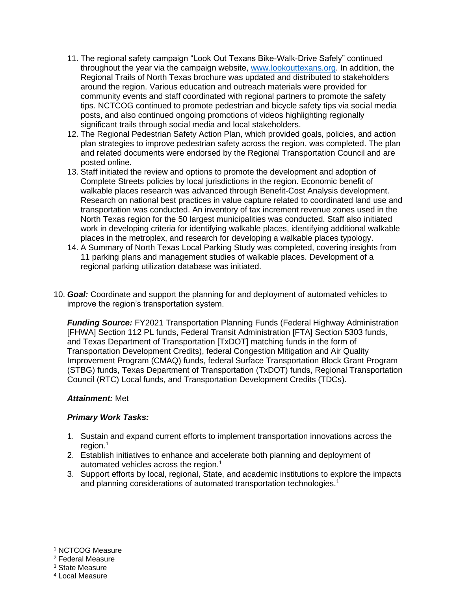- 11. The regional safety campaign "Look Out Texans Bike-Walk-Drive Safely" continued throughout the year via the campaign website, www.lookouttexans.org. In addition, the Regional Trails of North Texas brochure was updated and distributed to stakeholders around the region. Various education and outreach materials were provided for community events and staff coordinated with regional partners to promote the safety tips. NCTCOG continued to promote pedestrian and bicycle safety tips via social media posts, and also continued ongoing promotions of videos highlighting regionally significant trails through social media and local stakeholders.
- 12. The Regional Pedestrian Safety Action Plan, which provided goals, policies, and action plan strategies to improve pedestrian safety across the region, was completed. The plan and related documents were endorsed by the Regional Transportation Council and are posted online.
- 13. Staff initiated the review and options to promote the development and adoption of Complete Streets policies by local jurisdictions in the region. Economic benefit of walkable places research was advanced through Benefit-Cost Analysis development. Research on national best practices in value capture related to coordinated land use and transportation was conducted. An inventory of tax increment revenue zones used in the North Texas region for the 50 largest municipalities was conducted. Staff also initiated work in developing criteria for identifying walkable places, identifying additional walkable places in the metroplex, and research for developing a walkable places typology.
- 14. A Summary of North Texas Local Parking Study was completed, covering insights from 11 parking plans and management studies of walkable places. Development of a regional parking utilization database was initiated.
- 10. *Goal:* Coordinate and support the planning for and deployment of automated vehicles to improve the region's transportation system.

*Funding Source:* FY2021 Transportation Planning Funds (Federal Highway Administration [FHWA] Section 112 PL funds, Federal Transit Administration [FTA] Section 5303 funds, and Texas Department of Transportation [TxDOT] matching funds in the form of Transportation Development Credits), federal Congestion Mitigation and Air Quality Improvement Program (CMAQ) funds, federal Surface Transportation Block Grant Program (STBG) funds, Texas Department of Transportation (TxDOT) funds, Regional Transportation Council (RTC) Local funds, and Transportation Development Credits (TDCs).

#### *Attainment:* Met

## *Primary Work Tasks:*

- 1. Sustain and expand current efforts to implement transportation innovations across the region.<sup>1</sup>
- 2. Establish initiatives to enhance and accelerate both planning and deployment of automated vehicles across the region.<sup>1</sup>
- 3. Support efforts by local, regional, State, and academic institutions to explore the impacts and planning considerations of automated transportation technologies.<sup>1</sup>

#### <sup>1</sup> NCTCOG Measure

<sup>2</sup> Federal Measure

<sup>3</sup> State Measure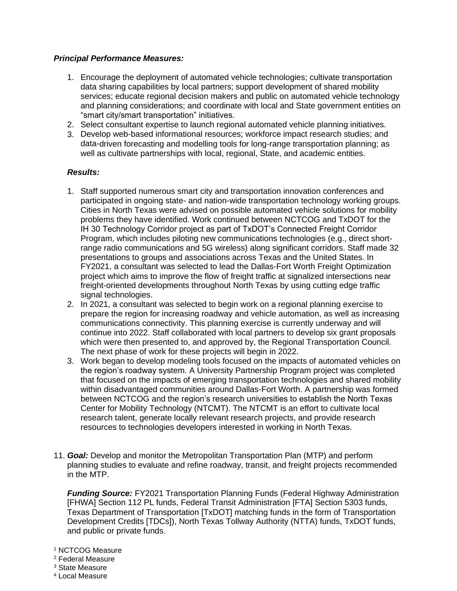## *Principal Performance Measures:*

- 1. Encourage the deployment of automated vehicle technologies; cultivate transportation data sharing capabilities by local partners; support development of shared mobility services; educate regional decision makers and public on automated vehicle technology and planning considerations; and coordinate with local and State government entities on "smart city/smart transportation" initiatives.
- 2. Select consultant expertise to launch regional automated vehicle planning initiatives.
- 3. Develop web-based informational resources; workforce impact research studies; and data-driven forecasting and modelling tools for long-range transportation planning; as well as cultivate partnerships with local, regional, State, and academic entities.

## *Results:*

- 1. Staff supported numerous smart city and transportation innovation conferences and participated in ongoing state- and nation-wide transportation technology working groups. Cities in North Texas were advised on possible automated vehicle solutions for mobility problems they have identified. Work continued between NCTCOG and TxDOT for the IH 30 Technology Corridor project as part of TxDOT's Connected Freight Corridor Program, which includes piloting new communications technologies (e.g., direct shortrange radio communications and 5G wireless) along significant corridors. Staff made 32 presentations to groups and associations across Texas and the United States. In FY2021, a consultant was selected to lead the Dallas-Fort Worth Freight Optimization project which aims to improve the flow of freight traffic at signalized intersections near freight-oriented developments throughout North Texas by using cutting edge traffic signal technologies.
- 2. In 2021, a consultant was selected to begin work on a regional planning exercise to prepare the region for increasing roadway and vehicle automation, as well as increasing communications connectivity. This planning exercise is currently underway and will continue into 2022. Staff collaborated with local partners to develop six grant proposals which were then presented to, and approved by, the Regional Transportation Council. The next phase of work for these projects will begin in 2022.
- 3. Work began to develop modeling tools focused on the impacts of automated vehicles on the region's roadway system. A University Partnership Program project was completed that focused on the impacts of emerging transportation technologies and shared mobility within disadvantaged communities around Dallas-Fort Worth. A partnership was formed between NCTCOG and the region's research universities to establish the North Texas Center for Mobility Technology (NTCMT). The NTCMT is an effort to cultivate local research talent, generate locally relevant research projects, and provide research resources to technologies developers interested in working in North Texas.
- 11. *Goal:* Develop and monitor the Metropolitan Transportation Plan (MTP) and perform planning studies to evaluate and refine roadway, transit, and freight projects recommended in the MTP.

*Funding Source:* FY2021 Transportation Planning Funds (Federal Highway Administration [FHWA] Section 112 PL funds, Federal Transit Administration [FTA] Section 5303 funds, Texas Department of Transportation [TxDOT] matching funds in the form of Transportation Development Credits [TDCs]), North Texas Tollway Authority (NTTA) funds, TxDOT funds, and public or private funds.

- <sup>1</sup> NCTCOG Measure
- <sup>2</sup> Federal Measure
- <sup>3</sup> State Measure
- <sup>4</sup> Local Measure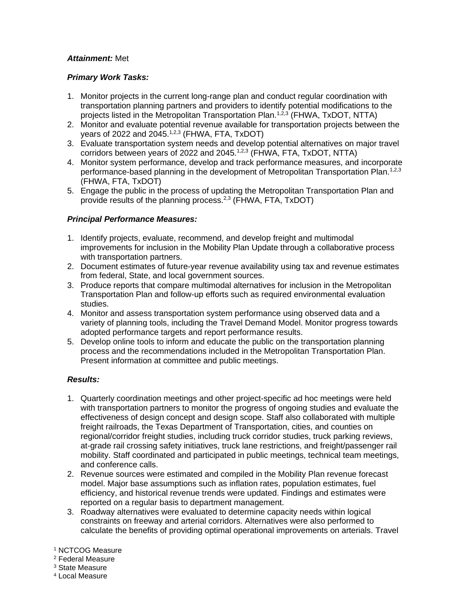## *Attainment:* Met

## *Primary Work Tasks:*

- 1. Monitor projects in the current long-range plan and conduct regular coordination with transportation planning partners and providers to identify potential modifications to the projects listed in the Metropolitan Transportation Plan.<sup>1,2,3</sup> (FHWA, TxDOT, NTTA)
- 2. Monitor and evaluate potential revenue available for transportation projects between the years of 2022 and 2045.<sup>1,2,3</sup> (FHWA, FTA, TxDOT)
- 3. Evaluate transportation system needs and develop potential alternatives on major travel corridors between years of 2022 and 2045. $1,2,3$  (FHWA, FTA, TxDOT, NTTA)
- 4. Monitor system performance, develop and track performance measures, and incorporate performance-based planning in the development of Metropolitan Transportation Plan.<sup>1,2,3</sup> (FHWA, FTA, TxDOT)
- 5. Engage the public in the process of updating the Metropolitan Transportation Plan and provide results of the planning process. $2,3$  (FHWA, FTA, TxDOT)

## *Principal Performance Measures:*

- 1. Identify projects, evaluate, recommend, and develop freight and multimodal improvements for inclusion in the Mobility Plan Update through a collaborative process with transportation partners.
- 2. Document estimates of future-year revenue availability using tax and revenue estimates from federal, State, and local government sources.
- 3. Produce reports that compare multimodal alternatives for inclusion in the Metropolitan Transportation Plan and follow-up efforts such as required environmental evaluation studies.
- 4. Monitor and assess transportation system performance using observed data and a variety of planning tools, including the Travel Demand Model. Monitor progress towards adopted performance targets and report performance results.
- 5. Develop online tools to inform and educate the public on the transportation planning process and the recommendations included in the Metropolitan Transportation Plan. Present information at committee and public meetings.

- 1. Quarterly coordination meetings and other project-specific ad hoc meetings were held with transportation partners to monitor the progress of ongoing studies and evaluate the effectiveness of design concept and design scope. Staff also collaborated with multiple freight railroads, the Texas Department of Transportation, cities, and counties on regional/corridor freight studies, including truck corridor studies, truck parking reviews, at-grade rail crossing safety initiatives, truck lane restrictions, and freight/passenger rail mobility. Staff coordinated and participated in public meetings, technical team meetings, and conference calls.
- 2. Revenue sources were estimated and compiled in the Mobility Plan revenue forecast model. Major base assumptions such as inflation rates, population estimates, fuel efficiency, and historical revenue trends were updated. Findings and estimates were reported on a regular basis to department management.
- 3. Roadway alternatives were evaluated to determine capacity needs within logical constraints on freeway and arterial corridors. Alternatives were also performed to calculate the benefits of providing optimal operational improvements on arterials. Travel

- <sup>2</sup> Federal Measure
- <sup>3</sup> State Measure
- <sup>4</sup> Local Measure

<sup>1</sup> NCTCOG Measure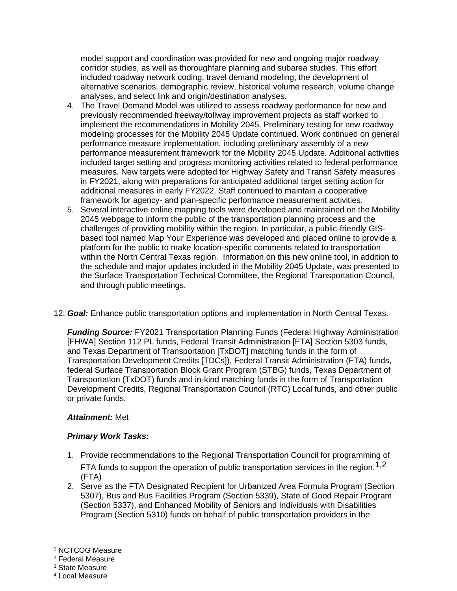model support and coordination was provided for new and ongoing major roadway corridor studies, as well as thoroughfare planning and subarea studies. This effort included roadway network coding, travel demand modeling, the development of alternative scenarios, demographic review, historical volume research, volume change analyses, and select link and origin/destination analyses.

- 4. The Travel Demand Model was utilized to assess roadway performance for new and previously recommended freeway/tollway improvement projects as staff worked to implement the recommendations in Mobility 2045. Preliminary testing for new roadway modeling processes for the Mobility 2045 Update continued. Work continued on general performance measure implementation, including preliminary assembly of a new performance measurement framework for the Mobility 2045 Update. Additional activities included target setting and progress monitoring activities related to federal performance measures. New targets were adopted for Highway Safety and Transit Safety measures in FY2021, along with preparations for anticipated additional target setting action for additional measures in early FY2022. Staff continued to maintain a cooperative framework for agency- and plan-specific performance measurement activities.
- 5. Several interactive online mapping tools were developed and maintained on the Mobility 2045 webpage to inform the public of the transportation planning process and the challenges of providing mobility within the region. In particular, a public-friendly GISbased tool named Map Your Experience was developed and placed online to provide a platform for the public to make location-specific comments related to transportation within the North Central Texas region. Information on this new online tool, in addition to the schedule and major updates included in the Mobility 2045 Update, was presented to the Surface Transportation Technical Committee, the Regional Transportation Council, and through public meetings.
- 12. *Goal:* Enhance public transportation options and implementation in North Central Texas.

*Funding Source:* FY2021 Transportation Planning Funds (Federal Highway Administration [FHWA] Section 112 PL funds, Federal Transit Administration [FTA] Section 5303 funds, and Texas Department of Transportation [TxDOT] matching funds in the form of Transportation Development Credits [TDCs]), Federal Transit Administration (FTA) funds, federal Surface Transportation Block Grant Program (STBG) funds, Texas Department of Transportation (TxDOT) funds and in-kind matching funds in the form of Transportation Development Credits, Regional Transportation Council (RTC) Local funds, and other public or private funds.

#### *Attainment:* Met

#### *Primary Work Tasks:*

- 1. Provide recommendations to the Regional Transportation Council for programming of FTA funds to support the operation of public transportation services in the region.<sup>1,2</sup> (FTA)
- 2. Serve as the FTA Designated Recipient for Urbanized Area Formula Program (Section 5307), Bus and Bus Facilities Program (Section 5339), State of Good Repair Program (Section 5337), and Enhanced Mobility of Seniors and Individuals with Disabilities Program (Section 5310) funds on behalf of public transportation providers in the

<sup>1</sup> NCTCOG Measure

<sup>2</sup> Federal Measure

<sup>3</sup> State Measure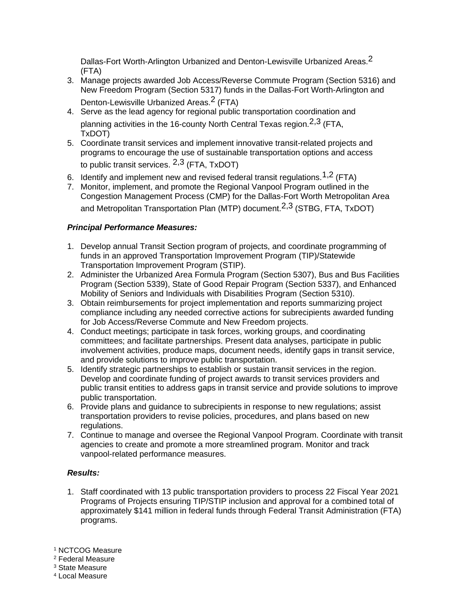Dallas-Fort Worth-Arlington Urbanized and Denton-Lewisville Urbanized Areas.<sup>2</sup> (FTA)

- 3. Manage projects awarded Job Access/Reverse Commute Program (Section 5316) and New Freedom Program (Section 5317) funds in the Dallas-Fort Worth-Arlington and Denton-Lewisville Urbanized Areas.<sup>2</sup> (FTA)
- 4. Serve as the lead agency for regional public transportation coordination and planning activities in the 16-county North Central Texas region.<sup>2,3</sup> (FTA, TxDOT)
- 5. Coordinate transit services and implement innovative transit-related projects and programs to encourage the use of sustainable transportation options and access to public transit services.  $2,3$  (FTA, TxDOT)
- 6. Identify and implement new and revised federal transit regulations.  $1,2$  (FTA)
- 7. Monitor, implement, and promote the Regional Vanpool Program outlined in the Congestion Management Process (CMP) for the Dallas-Fort Worth Metropolitan Area and Metropolitan Transportation Plan (MTP) document.<sup>2,3</sup> (STBG, FTA, TxDOT)

## *Principal Performance Measures:*

- 1. Develop annual Transit Section program of projects, and coordinate programming of funds in an approved Transportation Improvement Program (TIP)/Statewide Transportation Improvement Program (STIP).
- 2. Administer the Urbanized Area Formula Program (Section 5307), Bus and Bus Facilities Program (Section 5339), State of Good Repair Program (Section 5337), and Enhanced Mobility of Seniors and Individuals with Disabilities Program (Section 5310).
- 3. Obtain reimbursements for project implementation and reports summarizing project compliance including any needed corrective actions for subrecipients awarded funding for Job Access/Reverse Commute and New Freedom projects.
- 4. Conduct meetings; participate in task forces, working groups, and coordinating committees; and facilitate partnerships. Present data analyses, participate in public involvement activities, produce maps, document needs, identify gaps in transit service, and provide solutions to improve public transportation.
- 5. Identify strategic partnerships to establish or sustain transit services in the region. Develop and coordinate funding of project awards to transit services providers and public transit entities to address gaps in transit service and provide solutions to improve public transportation.
- 6. Provide plans and guidance to subrecipients in response to new regulations; assist transportation providers to revise policies, procedures, and plans based on new regulations.
- 7. Continue to manage and oversee the Regional Vanpool Program. Coordinate with transit agencies to create and promote a more streamlined program. Monitor and track vanpool-related performance measures.

## *Results:*

1. Staff coordinated with 13 public transportation providers to process 22 Fiscal Year 2021 Programs of Projects ensuring TIP/STIP inclusion and approval for a combined total of approximately \$141 million in federal funds through Federal Transit Administration (FTA) programs.

<sup>1</sup> NCTCOG Measure

<sup>2</sup> Federal Measure

<sup>3</sup> State Measure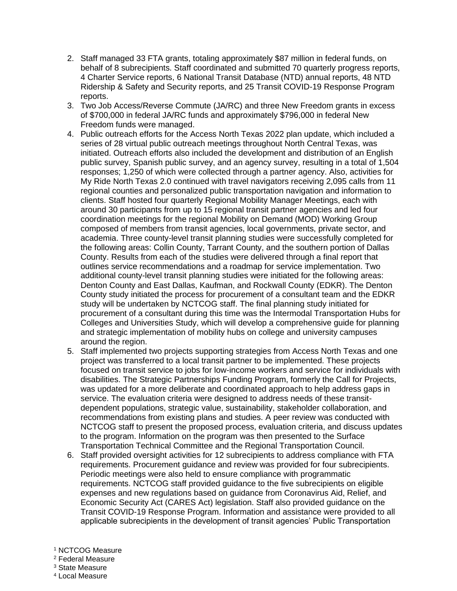- 2. Staff managed 33 FTA grants, totaling approximately \$87 million in federal funds, on behalf of 8 subrecipients. Staff coordinated and submitted 70 quarterly progress reports, 4 Charter Service reports, 6 National Transit Database (NTD) annual reports, 48 NTD Ridership & Safety and Security reports, and 25 Transit COVID-19 Response Program reports.
- 3. Two Job Access/Reverse Commute (JA/RC) and three New Freedom grants in excess of \$700,000 in federal JA/RC funds and approximately \$796,000 in federal New Freedom funds were managed.
- 4. Public outreach efforts for the Access North Texas 2022 plan update, which included a series of 28 virtual public outreach meetings throughout North Central Texas, was initiated. Outreach efforts also included the development and distribution of an English public survey, Spanish public survey, and an agency survey, resulting in a total of 1,504 responses; 1,250 of which were collected through a partner agency. Also, activities for My Ride North Texas 2.0 continued with travel navigators receiving 2,095 calls from 11 regional counties and personalized public transportation navigation and information to clients. Staff hosted four quarterly Regional Mobility Manager Meetings, each with around 30 participants from up to 15 regional transit partner agencies and led four coordination meetings for the regional Mobility on Demand (MOD) Working Group composed of members from transit agencies, local governments, private sector, and academia. Three county-level transit planning studies were successfully completed for the following areas: Collin County, Tarrant County, and the southern portion of Dallas County. Results from each of the studies were delivered through a final report that outlines service recommendations and a roadmap for service implementation. Two additional county-level transit planning studies were initiated for the following areas: Denton County and East Dallas, Kaufman, and Rockwall County (EDKR). The Denton County study initiated the process for procurement of a consultant team and the EDKR study will be undertaken by NCTCOG staff. The final planning study initiated for procurement of a consultant during this time was the Intermodal Transportation Hubs for Colleges and Universities Study, which will develop a comprehensive guide for planning and strategic implementation of mobility hubs on college and university campuses around the region.
- 5. Staff implemented two projects supporting strategies from Access North Texas and one project was transferred to a local transit partner to be implemented. These projects focused on transit service to jobs for low-income workers and service for individuals with disabilities. The Strategic Partnerships Funding Program, formerly the Call for Projects, was updated for a more deliberate and coordinated approach to help address gaps in service. The evaluation criteria were designed to address needs of these transitdependent populations, strategic value, sustainability, stakeholder collaboration, and recommendations from existing plans and studies. A peer review was conducted with NCTCOG staff to present the proposed process, evaluation criteria, and discuss updates to the program. Information on the program was then presented to the Surface Transportation Technical Committee and the Regional Transportation Council.
- 6. Staff provided oversight activities for 12 subrecipients to address compliance with FTA requirements. Procurement guidance and review was provided for four subrecipients. Periodic meetings were also held to ensure compliance with programmatic requirements. NCTCOG staff provided guidance to the five subrecipients on eligible expenses and new regulations based on guidance from Coronavirus Aid, Relief, and Economic Security Act (CARES Act) legislation. Staff also provided guidance on the Transit COVID-19 Response Program. Information and assistance were provided to all applicable subrecipients in the development of transit agencies' Public Transportation
- <sup>1</sup> NCTCOG Measure
- <sup>2</sup> Federal Measure
- <sup>3</sup> State Measure
- <sup>4</sup> Local Measure